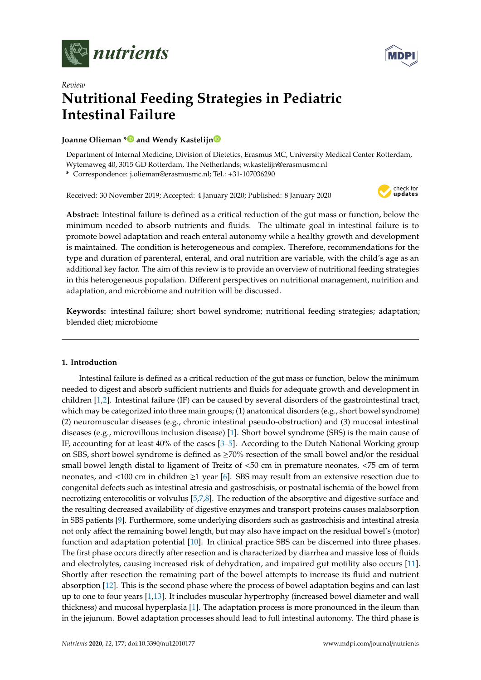



# *Review* **Nutritional Feeding Strategies in Pediatric Intestinal Failure**

# **Joanne Olieman [\\*](https://orcid.org/0000-0003-4100-6030) and Wendy Kastelij[n](https://orcid.org/0000-0001-7986-9056)**

Department of Internal Medicine, Division of Dietetics, Erasmus MC, University Medical Center Rotterdam, Wytemaweg 40, 3015 GD Rotterdam, The Netherlands; w.kastelijn@erasmusmc.nl

**\*** Correspondence: j.olieman@erasmusmc.nl; Tel.: +31-107036290

Received: 30 November 2019; Accepted: 4 January 2020; Published: 8 January 2020



**Abstract:** Intestinal failure is defined as a critical reduction of the gut mass or function, below the minimum needed to absorb nutrients and fluids. The ultimate goal in intestinal failure is to promote bowel adaptation and reach enteral autonomy while a healthy growth and development is maintained. The condition is heterogeneous and complex. Therefore, recommendations for the type and duration of parenteral, enteral, and oral nutrition are variable, with the child's age as an additional key factor. The aim of this review is to provide an overview of nutritional feeding strategies in this heterogeneous population. Different perspectives on nutritional management, nutrition and adaptation, and microbiome and nutrition will be discussed.

**Keywords:** intestinal failure; short bowel syndrome; nutritional feeding strategies; adaptation; blended diet; microbiome

# **1. Introduction**

Intestinal failure is defined as a critical reduction of the gut mass or function, below the minimum needed to digest and absorb sufficient nutrients and fluids for adequate growth and development in children [\[1](#page-8-0)[,2\]](#page-8-1). Intestinal failure (IF) can be caused by several disorders of the gastrointestinal tract, which may be categorized into three main groups; (1) anatomical disorders (e.g., short bowel syndrome) (2) neuromuscular diseases (e.g., chronic intestinal pseudo-obstruction) and (3) mucosal intestinal diseases (e.g., microvillous inclusion disease) [\[1\]](#page-8-0). Short bowel syndrome (SBS) is the main cause of IF, accounting for at least 40% of the cases [\[3–](#page-8-2)[5\]](#page-8-3). According to the Dutch National Working group on SBS, short bowel syndrome is defined as ≥70% resection of the small bowel and/or the residual small bowel length distal to ligament of Treitz of <50 cm in premature neonates, <75 cm of term neonates, and <100 cm in children ≥1 year [\[6\]](#page-8-4). SBS may result from an extensive resection due to congenital defects such as intestinal atresia and gastroschisis, or postnatal ischemia of the bowel from necrotizing enterocolitis or volvulus [\[5,](#page-8-3)[7,](#page-8-5)[8\]](#page-8-6). The reduction of the absorptive and digestive surface and the resulting decreased availability of digestive enzymes and transport proteins causes malabsorption in SBS patients [\[9\]](#page-8-7). Furthermore, some underlying disorders such as gastroschisis and intestinal atresia not only affect the remaining bowel length, but may also have impact on the residual bowel's (motor) function and adaptation potential [\[10\]](#page-8-8). In clinical practice SBS can be discerned into three phases. The first phase occurs directly after resection and is characterized by diarrhea and massive loss of fluids and electrolytes, causing increased risk of dehydration, and impaired gut motility also occurs [\[11\]](#page-8-9). Shortly after resection the remaining part of the bowel attempts to increase its fluid and nutrient absorption [\[12\]](#page-8-10). This is the second phase where the process of bowel adaptation begins and can last up to one to four years [\[1,](#page-8-0)[13\]](#page-8-11). It includes muscular hypertrophy (increased bowel diameter and wall thickness) and mucosal hyperplasia [\[1\]](#page-8-0). The adaptation process is more pronounced in the ileum than in the jejunum. Bowel adaptation processes should lead to full intestinal autonomy. The third phase is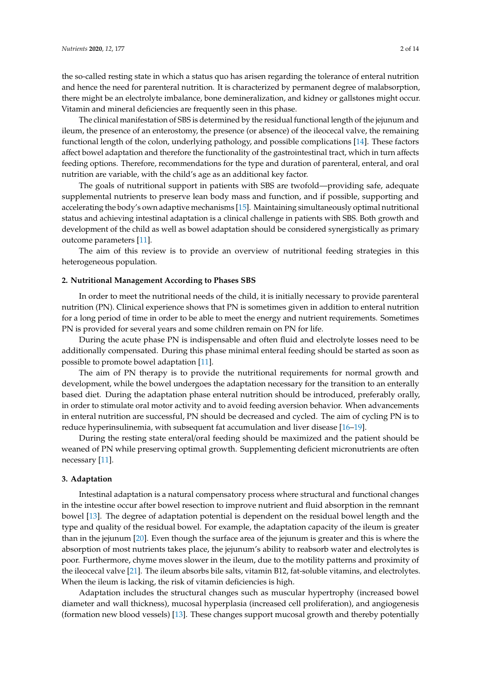the so-called resting state in which a status quo has arisen regarding the tolerance of enteral nutrition and hence the need for parenteral nutrition. It is characterized by permanent degree of malabsorption, there might be an electrolyte imbalance, bone demineralization, and kidney or gallstones might occur. Vitamin and mineral deficiencies are frequently seen in this phase.

The clinical manifestation of SBS is determined by the residual functional length of the jejunum and ileum, the presence of an enterostomy, the presence (or absence) of the ileocecal valve, the remaining functional length of the colon, underlying pathology, and possible complications [\[14\]](#page-8-12). These factors affect bowel adaptation and therefore the functionality of the gastrointestinal tract, which in turn affects feeding options. Therefore, recommendations for the type and duration of parenteral, enteral, and oral nutrition are variable, with the child's age as an additional key factor.

The goals of nutritional support in patients with SBS are twofold—providing safe, adequate supplemental nutrients to preserve lean body mass and function, and if possible, supporting and accelerating the body's own adaptive mechanisms [\[15\]](#page-9-0). Maintaining simultaneously optimal nutritional status and achieving intestinal adaptation is a clinical challenge in patients with SBS. Both growth and development of the child as well as bowel adaptation should be considered synergistically as primary outcome parameters [\[11\]](#page-8-9).

The aim of this review is to provide an overview of nutritional feeding strategies in this heterogeneous population.

## **2. Nutritional Management According to Phases SBS**

In order to meet the nutritional needs of the child, it is initially necessary to provide parenteral nutrition (PN). Clinical experience shows that PN is sometimes given in addition to enteral nutrition for a long period of time in order to be able to meet the energy and nutrient requirements. Sometimes PN is provided for several years and some children remain on PN for life.

During the acute phase PN is indispensable and often fluid and electrolyte losses need to be additionally compensated. During this phase minimal enteral feeding should be started as soon as possible to promote bowel adaptation [\[11\]](#page-8-9).

The aim of PN therapy is to provide the nutritional requirements for normal growth and development, while the bowel undergoes the adaptation necessary for the transition to an enterally based diet. During the adaptation phase enteral nutrition should be introduced, preferably orally, in order to stimulate oral motor activity and to avoid feeding aversion behavior. When advancements in enteral nutrition are successful, PN should be decreased and cycled. The aim of cycling PN is to reduce hyperinsulinemia, with subsequent fat accumulation and liver disease [\[16](#page-9-1)[–19\]](#page-9-2).

During the resting state enteral/oral feeding should be maximized and the patient should be weaned of PN while preserving optimal growth. Supplementing deficient micronutrients are often necessary [\[11\]](#page-8-9).

#### **3. Adaptation**

Intestinal adaptation is a natural compensatory process where structural and functional changes in the intestine occur after bowel resection to improve nutrient and fluid absorption in the remnant bowel [\[13\]](#page-8-11). The degree of adaptation potential is dependent on the residual bowel length and the type and quality of the residual bowel. For example, the adaptation capacity of the ileum is greater than in the jejunum [\[20\]](#page-9-3). Even though the surface area of the jejunum is greater and this is where the absorption of most nutrients takes place, the jejunum's ability to reabsorb water and electrolytes is poor. Furthermore, chyme moves slower in the ileum, due to the motility patterns and proximity of the ileocecal valve [\[21\]](#page-9-4). The ileum absorbs bile salts, vitamin B12, fat-soluble vitamins, and electrolytes. When the ileum is lacking, the risk of vitamin deficiencies is high.

Adaptation includes the structural changes such as muscular hypertrophy (increased bowel diameter and wall thickness), mucosal hyperplasia (increased cell proliferation), and angiogenesis (formation new blood vessels) [\[13\]](#page-8-11). These changes support mucosal growth and thereby potentially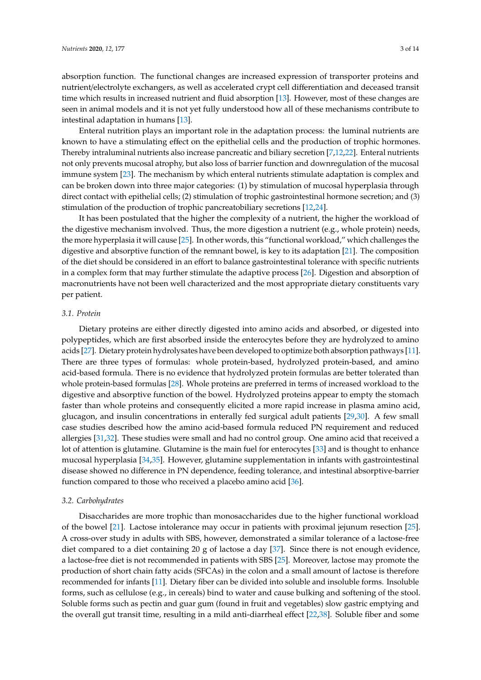absorption function. The functional changes are increased expression of transporter proteins and nutrient/electrolyte exchangers, as well as accelerated crypt cell differentiation and deceased transit time which results in increased nutrient and fluid absorption [\[13\]](#page-8-11). However, most of these changes are seen in animal models and it is not yet fully understood how all of these mechanisms contribute to intestinal adaptation in humans [\[13\]](#page-8-11).

Enteral nutrition plays an important role in the adaptation process: the luminal nutrients are known to have a stimulating effect on the epithelial cells and the production of trophic hormones. Thereby intraluminal nutrients also increase pancreatic and biliary secretion [\[7](#page-8-5)[,12](#page-8-10)[,22\]](#page-9-5). Enteral nutrients not only prevents mucosal atrophy, but also loss of barrier function and downregulation of the mucosal immune system [\[23\]](#page-9-6). The mechanism by which enteral nutrients stimulate adaptation is complex and can be broken down into three major categories: (1) by stimulation of mucosal hyperplasia through direct contact with epithelial cells; (2) stimulation of trophic gastrointestinal hormone secretion; and (3) stimulation of the production of trophic pancreatobiliary secretions [\[12](#page-8-10)[,24\]](#page-9-7).

It has been postulated that the higher the complexity of a nutrient, the higher the workload of the digestive mechanism involved. Thus, the more digestion a nutrient (e.g., whole protein) needs, the more hyperplasia it will cause [\[25\]](#page-9-8). In other words, this "functional workload," which challenges the digestive and absorptive function of the remnant bowel, is key to its adaptation [\[21\]](#page-9-4). The composition of the diet should be considered in an effort to balance gastrointestinal tolerance with specific nutrients in a complex form that may further stimulate the adaptive process [\[26\]](#page-9-9). Digestion and absorption of macronutrients have not been well characterized and the most appropriate dietary constituents vary per patient.

#### *3.1. Protein*

Dietary proteins are either directly digested into amino acids and absorbed, or digested into polypeptides, which are first absorbed inside the enterocytes before they are hydrolyzed to amino acids [\[27\]](#page-9-10). Dietary protein hydrolysates have been developed to optimize both absorption pathways [\[11\]](#page-8-9). There are three types of formulas: whole protein-based, hydrolyzed protein-based, and amino acid-based formula. There is no evidence that hydrolyzed protein formulas are better tolerated than whole protein-based formulas [\[28\]](#page-9-11). Whole proteins are preferred in terms of increased workload to the digestive and absorptive function of the bowel. Hydrolyzed proteins appear to empty the stomach faster than whole proteins and consequently elicited a more rapid increase in plasma amino acid, glucagon, and insulin concentrations in enterally fed surgical adult patients [\[29](#page-9-12)[,30\]](#page-9-13). A few small case studies described how the amino acid-based formula reduced PN requirement and reduced allergies [\[31,](#page-9-14)[32\]](#page-9-15). These studies were small and had no control group. One amino acid that received a lot of attention is glutamine. Glutamine is the main fuel for enterocytes [\[33\]](#page-9-16) and is thought to enhance mucosal hyperplasia [\[34,](#page-9-17)[35\]](#page-9-18). However, glutamine supplementation in infants with gastrointestinal disease showed no difference in PN dependence, feeding tolerance, and intestinal absorptive-barrier function compared to those who received a placebo amino acid [\[36\]](#page-9-19).

## *3.2. Carbohydrates*

Disaccharides are more trophic than monosaccharides due to the higher functional workload of the bowel [\[21\]](#page-9-4). Lactose intolerance may occur in patients with proximal jejunum resection [\[25\]](#page-9-8). A cross-over study in adults with SBS, however, demonstrated a similar tolerance of a lactose-free diet compared to a diet containing 20 g of lactose a day [\[37\]](#page-10-0). Since there is not enough evidence, a lactose-free diet is not recommended in patients with SBS [\[25\]](#page-9-8). Moreover, lactose may promote the production of short chain fatty acids (SFCAs) in the colon and a small amount of lactose is therefore recommended for infants [\[11\]](#page-8-9). Dietary fiber can be divided into soluble and insoluble forms. Insoluble forms, such as cellulose (e.g., in cereals) bind to water and cause bulking and softening of the stool. Soluble forms such as pectin and guar gum (found in fruit and vegetables) slow gastric emptying and the overall gut transit time, resulting in a mild anti-diarrheal effect [\[22,](#page-9-5)[38\]](#page-10-1). Soluble fiber and some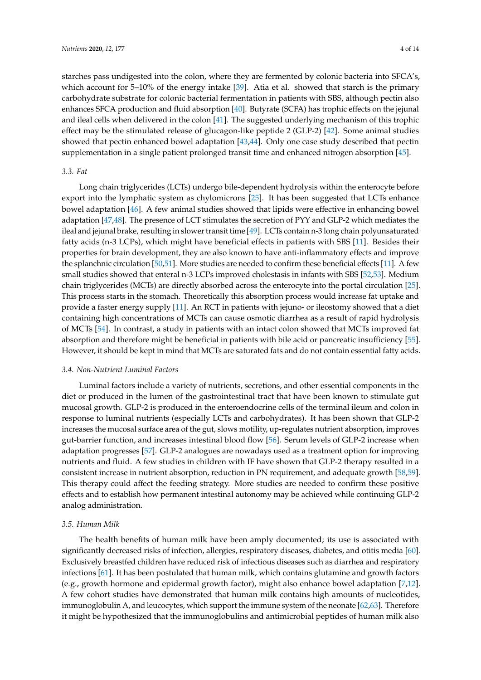starches pass undigested into the colon, where they are fermented by colonic bacteria into SFCA's, which account for 5–10% of the energy intake [\[39\]](#page-10-2). Atia et al. showed that starch is the primary carbohydrate substrate for colonic bacterial fermentation in patients with SBS, although pectin also enhances SFCA production and fluid absorption [\[40\]](#page-10-3). Butyrate (SCFA) has trophic effects on the jejunal and ileal cells when delivered in the colon [\[41\]](#page-10-4). The suggested underlying mechanism of this trophic effect may be the stimulated release of glucagon-like peptide 2 (GLP-2) [\[42\]](#page-10-5). Some animal studies showed that pectin enhanced bowel adaptation [\[43](#page-10-6)[,44\]](#page-10-7). Only one case study described that pectin supplementation in a single patient prolonged transit time and enhanced nitrogen absorption [\[45\]](#page-10-8).

# *3.3. Fat*

Long chain triglycerides (LCTs) undergo bile-dependent hydrolysis within the enterocyte before export into the lymphatic system as chylomicrons [\[25\]](#page-9-8). It has been suggested that LCTs enhance bowel adaptation [\[46\]](#page-10-9). A few animal studies showed that lipids were effective in enhancing bowel adaptation [\[47,](#page-10-10)[48\]](#page-10-11). The presence of LCT stimulates the secretion of PYY and GLP-2 which mediates the ileal and jejunal brake, resulting in slower transit time [\[49\]](#page-10-12). LCTs contain n-3 long chain polyunsaturated fatty acids (n-3 LCPs), which might have beneficial effects in patients with SBS [\[11\]](#page-8-9). Besides their properties for brain development, they are also known to have anti-inflammatory effects and improve the splanchnic circulation [\[50,](#page-10-13)[51\]](#page-10-14). More studies are needed to confirm these beneficial effects [\[11\]](#page-8-9). A few small studies showed that enteral n-3 LCPs improved cholestasis in infants with SBS [\[52,](#page-10-15)[53\]](#page-10-16). Medium chain triglycerides (MCTs) are directly absorbed across the enterocyte into the portal circulation [\[25\]](#page-9-8). This process starts in the stomach. Theoretically this absorption process would increase fat uptake and provide a faster energy supply [\[11\]](#page-8-9). An RCT in patients with jejuno- or ileostomy showed that a diet containing high concentrations of MCTs can cause osmotic diarrhea as a result of rapid hydrolysis of MCTs [\[54\]](#page-10-17). In contrast, a study in patients with an intact colon showed that MCTs improved fat absorption and therefore might be beneficial in patients with bile acid or pancreatic insufficiency [\[55\]](#page-10-18). However, it should be kept in mind that MCTs are saturated fats and do not contain essential fatty acids.

# *3.4. Non-Nutrient Luminal Factors*

Luminal factors include a variety of nutrients, secretions, and other essential components in the diet or produced in the lumen of the gastrointestinal tract that have been known to stimulate gut mucosal growth. GLP-2 is produced in the enteroendocrine cells of the terminal ileum and colon in response to luminal nutrients (especially LCTs and carbohydrates). It has been shown that GLP-2 increases the mucosal surface area of the gut, slows motility, up-regulates nutrient absorption, improves gut-barrier function, and increases intestinal blood flow [\[56\]](#page-10-19). Serum levels of GLP-2 increase when adaptation progresses [\[57\]](#page-11-0). GLP-2 analogues are nowadays used as a treatment option for improving nutrients and fluid. A few studies in children with IF have shown that GLP-2 therapy resulted in a consistent increase in nutrient absorption, reduction in PN requirement, and adequate growth [\[58](#page-11-1)[,59\]](#page-11-2). This therapy could affect the feeding strategy. More studies are needed to confirm these positive effects and to establish how permanent intestinal autonomy may be achieved while continuing GLP-2 analog administration.

## *3.5. Human Milk*

The health benefits of human milk have been amply documented; its use is associated with significantly decreased risks of infection, allergies, respiratory diseases, diabetes, and otitis media [\[60\]](#page-11-3). Exclusively breastfed children have reduced risk of infectious diseases such as diarrhea and respiratory infections [\[61\]](#page-11-4). It has been postulated that human milk, which contains glutamine and growth factors (e.g., growth hormone and epidermal growth factor), might also enhance bowel adaptation [\[7,](#page-8-5)[12\]](#page-8-10). A few cohort studies have demonstrated that human milk contains high amounts of nucleotides, immunoglobulin A, and leucocytes, which support the immune system of the neonate [\[62,](#page-11-5)[63\]](#page-11-6). Therefore it might be hypothesized that the immunoglobulins and antimicrobial peptides of human milk also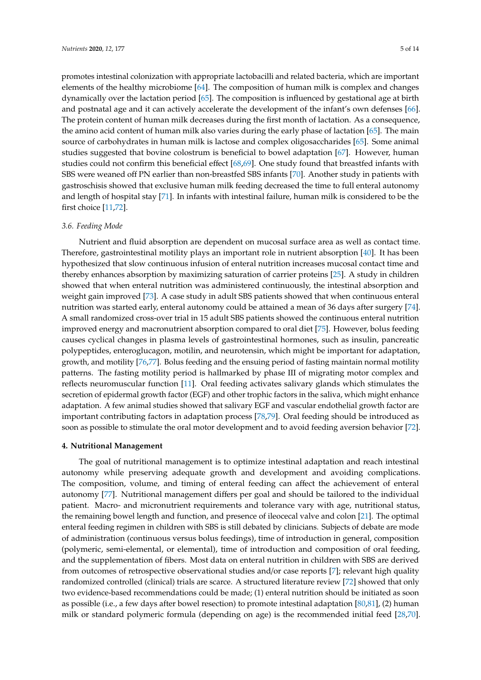promotes intestinal colonization with appropriate lactobacilli and related bacteria, which are important elements of the healthy microbiome [\[64\]](#page-11-7). The composition of human milk is complex and changes dynamically over the lactation period [\[65\]](#page-11-8). The composition is influenced by gestational age at birth and postnatal age and it can actively accelerate the development of the infant's own defenses [\[66\]](#page-11-9). The protein content of human milk decreases during the first month of lactation. As a consequence, the amino acid content of human milk also varies during the early phase of lactation [\[65\]](#page-11-8). The main source of carbohydrates in human milk is lactose and complex oligosaccharides [\[65\]](#page-11-8). Some animal studies suggested that bovine colostrum is beneficial to bowel adaptation [\[67\]](#page-11-10). However, human studies could not confirm this beneficial effect [\[68,](#page-11-11)[69\]](#page-11-12). One study found that breastfed infants with SBS were weaned off PN earlier than non-breastfed SBS infants [\[70\]](#page-11-13). Another study in patients with gastroschisis showed that exclusive human milk feeding decreased the time to full enteral autonomy and length of hospital stay [\[71\]](#page-11-14). In infants with intestinal failure, human milk is considered to be the first choice [\[11](#page-8-9)[,72\]](#page-11-15).

## *3.6. Feeding Mode*

Nutrient and fluid absorption are dependent on mucosal surface area as well as contact time. Therefore, gastrointestinal motility plays an important role in nutrient absorption [\[40\]](#page-10-3). It has been hypothesized that slow continuous infusion of enteral nutrition increases mucosal contact time and thereby enhances absorption by maximizing saturation of carrier proteins [\[25\]](#page-9-8). A study in children showed that when enteral nutrition was administered continuously, the intestinal absorption and weight gain improved [\[73\]](#page-11-16). A case study in adult SBS patients showed that when continuous enteral nutrition was started early, enteral autonomy could be attained a mean of 36 days after surgery [\[74\]](#page-11-17). A small randomized cross-over trial in 15 adult SBS patients showed the continuous enteral nutrition improved energy and macronutrient absorption compared to oral diet [\[75\]](#page-11-18). However, bolus feeding causes cyclical changes in plasma levels of gastrointestinal hormones, such as insulin, pancreatic polypeptides, enteroglucagon, motilin, and neurotensin, which might be important for adaptation, growth, and motility [\[76,](#page-11-19)[77\]](#page-11-20). Bolus feeding and the ensuing period of fasting maintain normal motility patterns. The fasting motility period is hallmarked by phase III of migrating motor complex and reflects neuromuscular function [\[11\]](#page-8-9). Oral feeding activates salivary glands which stimulates the secretion of epidermal growth factor (EGF) and other trophic factors in the saliva, which might enhance adaptation. A few animal studies showed that salivary EGF and vascular endothelial growth factor are important contributing factors in adaptation process [\[78](#page-12-0)[,79\]](#page-12-1). Oral feeding should be introduced as soon as possible to stimulate the oral motor development and to avoid feeding aversion behavior [\[72\]](#page-11-15).

#### **4. Nutritional Management**

The goal of nutritional management is to optimize intestinal adaptation and reach intestinal autonomy while preserving adequate growth and development and avoiding complications. The composition, volume, and timing of enteral feeding can affect the achievement of enteral autonomy [\[77\]](#page-11-20). Nutritional management differs per goal and should be tailored to the individual patient. Macro- and micronutrient requirements and tolerance vary with age, nutritional status, the remaining bowel length and function, and presence of ileocecal valve and colon [\[21\]](#page-9-4). The optimal enteral feeding regimen in children with SBS is still debated by clinicians. Subjects of debate are mode of administration (continuous versus bolus feedings), time of introduction in general, composition (polymeric, semi-elemental, or elemental), time of introduction and composition of oral feeding, and the supplementation of fibers. Most data on enteral nutrition in children with SBS are derived from outcomes of retrospective observational studies and/or case reports [\[7\]](#page-8-5); relevant high quality randomized controlled (clinical) trials are scarce. A structured literature review [\[72\]](#page-11-15) showed that only two evidence-based recommendations could be made; (1) enteral nutrition should be initiated as soon as possible (i.e., a few days after bowel resection) to promote intestinal adaptation [\[80](#page-12-2)[,81\]](#page-12-3), (2) human milk or standard polymeric formula (depending on age) is the recommended initial feed [\[28,](#page-9-11)[70\]](#page-11-13).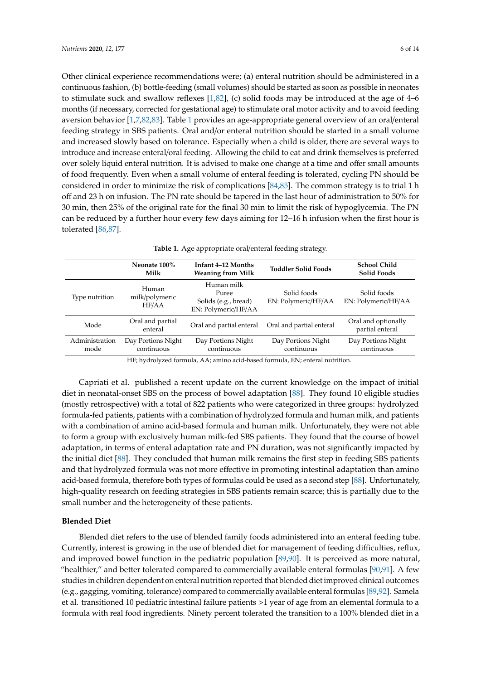Other clinical experience recommendations were; (a) enteral nutrition should be administered in a continuous fashion, (b) bottle-feeding (small volumes) should be started as soon as possible in neonates to stimulate suck and swallow reflexes  $[1,82]$  $[1,82]$ , (c) solid foods may be introduced at the age of 4–6 months (if necessary, corrected for gestational age) to stimulate oral motor activity and to avoid feeding aversion behavior [\[1,](#page-8-0)[7](#page-8-5)[,82](#page-12-4)[,83\]](#page-12-5). Table [1](#page-5-0) provides an age-appropriate general overview of an oral/enteral feeding strategy in SBS patients. Oral and/or enteral nutrition should be started in a small volume and increased slowly based on tolerance. Especially when a child is older, there are several ways to introduce and increase enteral/oral feeding. Allowing the child to eat and drink themselves is preferred over solely liquid enteral nutrition. It is advised to make one change at a time and offer small amounts of food frequently. Even when a small volume of enteral feeding is tolerated, cycling PN should be considered in order to minimize the risk of complications [\[84,](#page-12-6)[85\]](#page-12-7). The common strategy is to trial 1 h off and 23 h on infusion. The PN rate should be tapered in the last hour of administration to 50% for 30 min, then 25% of the original rate for the final 30 min to limit the risk of hypoglycemia. The PN can be reduced by a further hour every few days aiming for 12–16 h infusion when the first hour is tolerated [\[86,](#page-12-8)[87\]](#page-12-9).

|  |  |  |  |  |  |  | <b>Table 1.</b> Age appropriate oral/enteral feeding strategy. |
|--|--|--|--|--|--|--|----------------------------------------------------------------|
|--|--|--|--|--|--|--|----------------------------------------------------------------|

<span id="page-5-0"></span>

|                        | Neonate 100%<br>Milk             | Infant 4–12 Months<br><b>Weaning from Milk</b>                     | <b>Toddler Solid Foods</b>         | <b>School Child</b><br><b>Solid Foods</b> |
|------------------------|----------------------------------|--------------------------------------------------------------------|------------------------------------|-------------------------------------------|
| Type nutrition         | Human<br>milk/polymeric<br>HF/AA | Human milk<br>Puree<br>Solids (e.g., bread)<br>EN: Polymeric/HF/AA | Solid foods<br>EN: Polymeric/HF/AA | Solid foods<br>EN: Polymeric/HF/AA        |
| Mode                   | Oral and partial<br>enteral      | Oral and partial enteral                                           | Oral and partial enteral           | Oral and optionally<br>partial enteral    |
| Administration<br>mode | Day Portions Night<br>continuous | Day Portions Night<br>continuous                                   | Day Portions Night<br>continuous   | Day Portions Night<br>continuous          |

HF; hydrolyzed formula, AA; amino acid-based formula, EN; enteral nutrition.

Capriati et al. published a recent update on the current knowledge on the impact of initial diet in neonatal-onset SBS on the process of bowel adaptation [\[88\]](#page-12-10). They found 10 eligible studies (mostly retrospective) with a total of 822 patients who were categorized in three groups: hydrolyzed formula-fed patients, patients with a combination of hydrolyzed formula and human milk, and patients with a combination of amino acid-based formula and human milk. Unfortunately, they were not able to form a group with exclusively human milk-fed SBS patients. They found that the course of bowel adaptation, in terms of enteral adaptation rate and PN duration, was not significantly impacted by the initial diet [\[88\]](#page-12-10). They concluded that human milk remains the first step in feeding SBS patients and that hydrolyzed formula was not more effective in promoting intestinal adaptation than amino acid-based formula, therefore both types of formulas could be used as a second step [\[88\]](#page-12-10). Unfortunately, high-quality research on feeding strategies in SBS patients remain scarce; this is partially due to the small number and the heterogeneity of these patients.

#### **Blended Diet**

Blended diet refers to the use of blended family foods administered into an enteral feeding tube. Currently, interest is growing in the use of blended diet for management of feeding difficulties, reflux, and improved bowel function in the pediatric population [\[89,](#page-12-11)[90\]](#page-12-12). It is perceived as more natural, "healthier," and better tolerated compared to commercially available enteral formulas [\[90,](#page-12-12)[91\]](#page-12-13). A few studies in children dependent on enteral nutrition reported that blended diet improved clinical outcomes (e.g., gagging, vomiting, tolerance) compared to commercially available enteral formulas [\[89](#page-12-11)[,92\]](#page-12-14). Samela et al. transitioned 10 pediatric intestinal failure patients >1 year of age from an elemental formula to a formula with real food ingredients. Ninety percent tolerated the transition to a 100% blended diet in a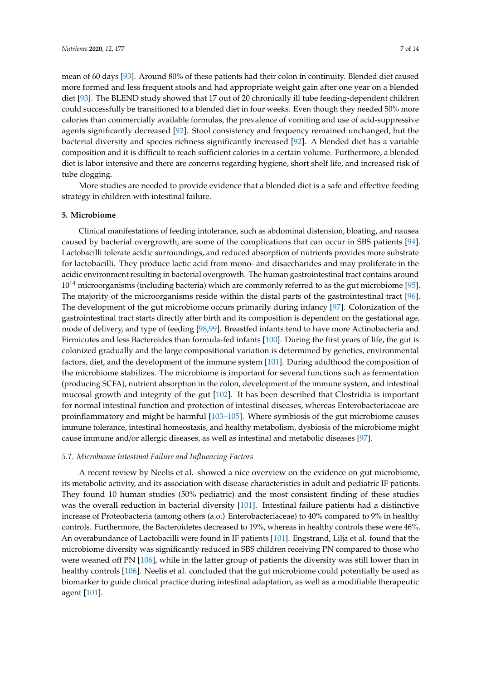mean of 60 days [\[93\]](#page-12-15). Around 80% of these patients had their colon in continuity. Blended diet caused more formed and less frequent stools and had appropriate weight gain after one year on a blended diet [\[93\]](#page-12-15). The BLEND study showed that 17 out of 20 chronically ill tube feeding-dependent children could successfully be transitioned to a blended diet in four weeks. Even though they needed 50% more calories than commercially available formulas, the prevalence of vomiting and use of acid-suppressive agents significantly decreased [\[92\]](#page-12-14). Stool consistency and frequency remained unchanged, but the bacterial diversity and species richness significantly increased [\[92\]](#page-12-14). A blended diet has a variable composition and it is difficult to reach sufficient calories in a certain volume. Furthermore, a blended diet is labor intensive and there are concerns regarding hygiene, short shelf life, and increased risk of tube clogging.

More studies are needed to provide evidence that a blended diet is a safe and effective feeding strategy in children with intestinal failure.

## **5. Microbiome**

Clinical manifestations of feeding intolerance, such as abdominal distension, bloating, and nausea caused by bacterial overgrowth, are some of the complications that can occur in SBS patients [\[94\]](#page-12-16). Lactobacilli tolerate acidic surroundings, and reduced absorption of nutrients provides more substrate for lactobacilli. They produce lactic acid from mono- and disaccharides and may proliferate in the acidic environment resulting in bacterial overgrowth. The human gastrointestinal tract contains around  $10^{14}$  microorganisms (including bacteria) which are commonly referred to as the gut microbiome [\[95\]](#page-12-17). The majority of the microorganisms reside within the distal parts of the gastrointestinal tract [\[96\]](#page-12-18). The development of the gut microbiome occurs primarily during infancy [\[97\]](#page-12-19). Colonization of the gastrointestinal tract starts directly after birth and its composition is dependent on the gestational age, mode of delivery, and type of feeding [\[98,](#page-13-0)[99\]](#page-13-1). Breastfed infants tend to have more Actinobacteria and Firmicutes and less Bacteroides than formula-fed infants [\[100\]](#page-13-2). During the first years of life, the gut is colonized gradually and the large compositional variation is determined by genetics, environmental factors, diet, and the development of the immune system [\[101\]](#page-13-3). During adulthood the composition of the microbiome stabilizes. The microbiome is important for several functions such as fermentation (producing SCFA), nutrient absorption in the colon, development of the immune system, and intestinal mucosal growth and integrity of the gut [\[102\]](#page-13-4). It has been described that Clostridia is important for normal intestinal function and protection of intestinal diseases, whereas Enterobacteriaceae are proinflammatory and might be harmful [\[103–](#page-13-5)[105\]](#page-13-6). Where symbiosis of the gut microbiome causes immune tolerance, intestinal homeostasis, and healthy metabolism, dysbiosis of the microbiome might cause immune and/or allergic diseases, as well as intestinal and metabolic diseases [\[97\]](#page-12-19).

#### *5.1. Microbiome Intestinal Failure and Influencing Factors*

A recent review by Neelis et al. showed a nice overview on the evidence on gut microbiome, its metabolic activity, and its association with disease characteristics in adult and pediatric IF patients. They found 10 human studies (50% pediatric) and the most consistent finding of these studies was the overall reduction in bacterial diversity [\[101\]](#page-13-3). Intestinal failure patients had a distinctive increase of Proteobacteria (among others (a.o.) Enterobacteriaceae) to 40% compared to 9% in healthy controls. Furthermore, the Bacteroidetes decreased to 19%, whereas in healthy controls these were 46%. An overabundance of Lactobacilli were found in IF patients [\[101\]](#page-13-3). Engstrand, Lilja et al. found that the microbiome diversity was significantly reduced in SBS children receiving PN compared to those who were weaned off PN [\[106\]](#page-13-7), while in the latter group of patients the diversity was still lower than in healthy controls [\[106\]](#page-13-7). Neelis et al. concluded that the gut microbiome could potentially be used as biomarker to guide clinical practice during intestinal adaptation, as well as a modifiable therapeutic agent [\[101\]](#page-13-3).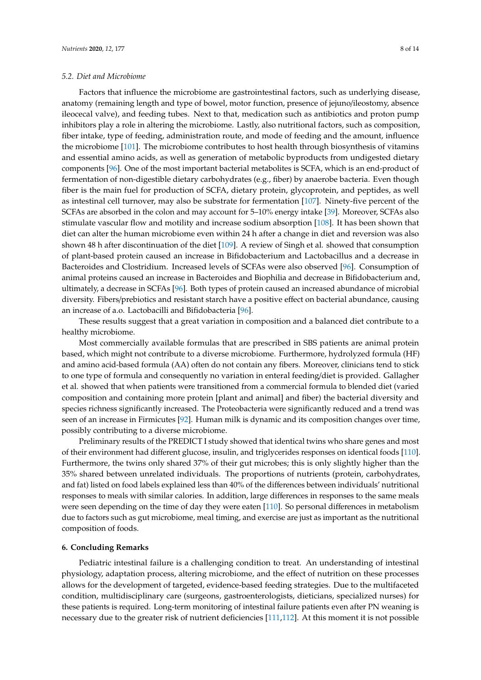## *5.2. Diet and Microbiome*

Factors that influence the microbiome are gastrointestinal factors, such as underlying disease, anatomy (remaining length and type of bowel, motor function, presence of jejuno/ileostomy, absence ileocecal valve), and feeding tubes. Next to that, medication such as antibiotics and proton pump inhibitors play a role in altering the microbiome. Lastly, also nutritional factors, such as composition, fiber intake, type of feeding, administration route, and mode of feeding and the amount, influence the microbiome [\[101\]](#page-13-3). The microbiome contributes to host health through biosynthesis of vitamins and essential amino acids, as well as generation of metabolic byproducts from undigested dietary components [\[96\]](#page-12-18). One of the most important bacterial metabolites is SCFA, which is an end-product of fermentation of non-digestible dietary carbohydrates (e.g., fiber) by anaerobe bacteria. Even though fiber is the main fuel for production of SCFA, dietary protein, glycoprotein, and peptides, as well as intestinal cell turnover, may also be substrate for fermentation [\[107\]](#page-13-8). Ninety-five percent of the SCFAs are absorbed in the colon and may account for 5–10% energy intake [\[39\]](#page-10-2). Moreover, SCFAs also stimulate vascular flow and motility and increase sodium absorption [\[108\]](#page-13-9). It has been shown that diet can alter the human microbiome even within 24 h after a change in diet and reversion was also shown 48 h after discontinuation of the diet [\[109\]](#page-13-10). A review of Singh et al. showed that consumption of plant-based protein caused an increase in Bifidobacterium and Lactobacillus and a decrease in Bacteroides and Clostridium. Increased levels of SCFAs were also observed [\[96\]](#page-12-18). Consumption of animal proteins caused an increase in Bacteroides and Biophilia and decrease in Bifidobacterium and, ultimately, a decrease in SCFAs [\[96\]](#page-12-18). Both types of protein caused an increased abundance of microbial diversity. Fibers/prebiotics and resistant starch have a positive effect on bacterial abundance, causing an increase of a.o. Lactobacilli and Bifidobacteria [\[96\]](#page-12-18).

These results suggest that a great variation in composition and a balanced diet contribute to a healthy microbiome.

Most commercially available formulas that are prescribed in SBS patients are animal protein based, which might not contribute to a diverse microbiome. Furthermore, hydrolyzed formula (HF) and amino acid-based formula (AA) often do not contain any fibers. Moreover, clinicians tend to stick to one type of formula and consequently no variation in enteral feeding/diet is provided. Gallagher et al. showed that when patients were transitioned from a commercial formula to blended diet (varied composition and containing more protein [plant and animal] and fiber) the bacterial diversity and species richness significantly increased. The Proteobacteria were significantly reduced and a trend was seen of an increase in Firmicutes [\[92\]](#page-12-14). Human milk is dynamic and its composition changes over time, possibly contributing to a diverse microbiome.

Preliminary results of the PREDICT I study showed that identical twins who share genes and most of their environment had different glucose, insulin, and triglycerides responses on identical foods [\[110\]](#page-13-11). Furthermore, the twins only shared 37% of their gut microbes; this is only slightly higher than the 35% shared between unrelated individuals. The proportions of nutrients (protein, carbohydrates, and fat) listed on food labels explained less than 40% of the differences between individuals' nutritional responses to meals with similar calories. In addition, large differences in responses to the same meals were seen depending on the time of day they were eaten [\[110\]](#page-13-11). So personal differences in metabolism due to factors such as gut microbiome, meal timing, and exercise are just as important as the nutritional composition of foods.

#### **6. Concluding Remarks**

Pediatric intestinal failure is a challenging condition to treat. An understanding of intestinal physiology, adaptation process, altering microbiome, and the effect of nutrition on these processes allows for the development of targeted, evidence-based feeding strategies. Due to the multifaceted condition, multidisciplinary care (surgeons, gastroenterologists, dieticians, specialized nurses) for these patients is required. Long-term monitoring of intestinal failure patients even after PN weaning is necessary due to the greater risk of nutrient deficiencies [\[111](#page-13-12)[,112\]](#page-13-13). At this moment it is not possible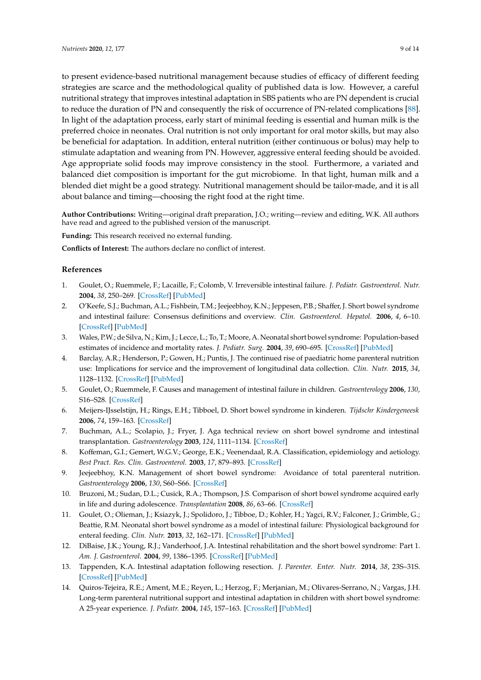to present evidence-based nutritional management because studies of efficacy of different feeding strategies are scarce and the methodological quality of published data is low. However, a careful nutritional strategy that improves intestinal adaptation in SBS patients who are PN dependent is crucial to reduce the duration of PN and consequently the risk of occurrence of PN-related complications [\[88\]](#page-12-10). In light of the adaptation process, early start of minimal feeding is essential and human milk is the preferred choice in neonates. Oral nutrition is not only important for oral motor skills, but may also be beneficial for adaptation. In addition, enteral nutrition (either continuous or bolus) may help to stimulate adaptation and weaning from PN. However, aggressive enteral feeding should be avoided. Age appropriate solid foods may improve consistency in the stool. Furthermore, a variated and balanced diet composition is important for the gut microbiome. In that light, human milk and a blended diet might be a good strategy. Nutritional management should be tailor-made, and it is all about balance and timing—choosing the right food at the right time.

**Author Contributions:** Writing—original draft preparation, J.O.; writing—review and editing, W.K. All authors have read and agreed to the published version of the manuscript.

**Funding:** This research received no external funding.

**Conflicts of Interest:** The authors declare no conflict of interest.

# **References**

- <span id="page-8-0"></span>1. Goulet, O.; Ruemmele, F.; Lacaille, F.; Colomb, V. Irreversible intestinal failure. *J. Pediatr. Gastroenterol. Nutr.* **2004**, *38*, 250–269. [\[CrossRef\]](http://dx.doi.org/10.1097/00005176-200403000-00006) [\[PubMed\]](http://www.ncbi.nlm.nih.gov/pubmed/15076623)
- <span id="page-8-1"></span>2. O'Keefe, S.J.; Buchman, A.L.; Fishbein, T.M.; Jeejeebhoy, K.N.; Jeppesen, P.B.; Shaffer, J. Short bowel syndrome and intestinal failure: Consensus definitions and overview. *Clin. Gastroenterol. Hepatol.* **2006**, *4*, 6–10. [\[CrossRef\]](http://dx.doi.org/10.1016/j.cgh.2005.10.002) [\[PubMed\]](http://www.ncbi.nlm.nih.gov/pubmed/16431298)
- <span id="page-8-2"></span>3. Wales, P.W.; de Silva, N.; Kim, J.; Lecce, L.; To, T.; Moore, A. Neonatal short bowel syndrome: Population-based estimates of incidence and mortality rates. *J. Pediatr. Surg.* **2004**, *39*, 690–695. [\[CrossRef\]](http://dx.doi.org/10.1016/j.jpedsurg.2004.01.036) [\[PubMed\]](http://www.ncbi.nlm.nih.gov/pubmed/15137001)
- 4. Barclay, A.R.; Henderson, P.; Gowen, H.; Puntis, J. The continued rise of paediatric home parenteral nutrition use: Implications for service and the improvement of longitudinal data collection. *Clin. Nutr.* **2015**, *34*, 1128–1132. [\[CrossRef\]](http://dx.doi.org/10.1016/j.clnu.2014.11.009) [\[PubMed\]](http://www.ncbi.nlm.nih.gov/pubmed/25476040)
- <span id="page-8-3"></span>5. Goulet, O.; Ruemmele, F. Causes and management of intestinal failure in children. *Gastroenterology* **2006**, *130*, S16–S28. [\[CrossRef\]](http://dx.doi.org/10.1053/j.gastro.2005.12.002)
- <span id="page-8-4"></span>6. Meijers-IJsselstijn, H.; Rings, E.H.; Tibboel, D. Short bowel syndrome in kinderen. *Tijdschr Kindergeneesk* **2006**, *74*, 159–163. [\[CrossRef\]](http://dx.doi.org/10.1007/BF03061624)
- <span id="page-8-5"></span>7. Buchman, A.L.; Scolapio, J.; Fryer, J. Aga technical review on short bowel syndrome and intestinal transplantation. *Gastroenterology* **2003**, *124*, 1111–1134. [\[CrossRef\]](http://dx.doi.org/10.1016/S0016-5085(03)70064-X)
- <span id="page-8-6"></span>8. Koffeman, G.I.; Gemert, W.G.V.; George, E.K.; Veenendaal, R.A. Classification, epidemiology and aetiology. *Best Pract. Res. Clin. Gastroenterol.* **2003**, *17*, 879–893. [\[CrossRef\]](http://dx.doi.org/10.1016/S1521-6918(03)00099-4)
- <span id="page-8-7"></span>9. Jeejeebhoy, K.N. Management of short bowel syndrome: Avoidance of total parenteral nutrition. *Gastroenterology* **2006**, *130*, S60–S66. [\[CrossRef\]](http://dx.doi.org/10.1053/j.gastro.2005.10.065)
- <span id="page-8-8"></span>10. Bruzoni, M.; Sudan, D.L.; Cusick, R.A.; Thompson, J.S. Comparison of short bowel syndrome acquired early in life and during adolescence. *Transplantation* **2008**, *86*, 63–66. [\[CrossRef\]](http://dx.doi.org/10.1097/TP.0b013e3181734995)
- <span id="page-8-9"></span>11. Goulet, O.; Olieman, J.; Ksiazyk, J.; Spolidoro, J.; Tibboe, D.; Kohler, H.; Yagci, R.V.; Falconer, J.; Grimble, G.; Beattie, R.M. Neonatal short bowel syndrome as a model of intestinal failure: Physiological background for enteral feeding. *Clin. Nutr.* **2013**, *32*, 162–171. [\[CrossRef\]](http://dx.doi.org/10.1016/j.clnu.2012.09.007) [\[PubMed\]](http://www.ncbi.nlm.nih.gov/pubmed/23159212)
- <span id="page-8-10"></span>12. DiBaise, J.K.; Young, R.J.; Vanderhoof, J.A. Intestinal rehabilitation and the short bowel syndrome: Part 1. *Am. J. Gastroenterol.* **2004**, *99*, 1386–1395. [\[CrossRef\]](http://dx.doi.org/10.1111/j.1572-0241.2004.30345.x) [\[PubMed\]](http://www.ncbi.nlm.nih.gov/pubmed/15233682)
- <span id="page-8-11"></span>13. Tappenden, K.A. Intestinal adaptation following resection. *J. Parenter. Enter. Nutr.* **2014**, *38*, 23S–31S. [\[CrossRef\]](http://dx.doi.org/10.1177/0148607114525210) [\[PubMed\]](http://www.ncbi.nlm.nih.gov/pubmed/24586019)
- <span id="page-8-12"></span>14. Quiros-Tejeira, R.E.; Ament, M.E.; Reyen, L.; Herzog, F.; Merjanian, M.; Olivares-Serrano, N.; Vargas, J.H. Long-term parenteral nutritional support and intestinal adaptation in children with short bowel syndrome: A 25-year experience. *J. Pediatr.* **2004**, *145*, 157–163. [\[CrossRef\]](http://dx.doi.org/10.1016/j.jpeds.2004.02.030) [\[PubMed\]](http://www.ncbi.nlm.nih.gov/pubmed/15289760)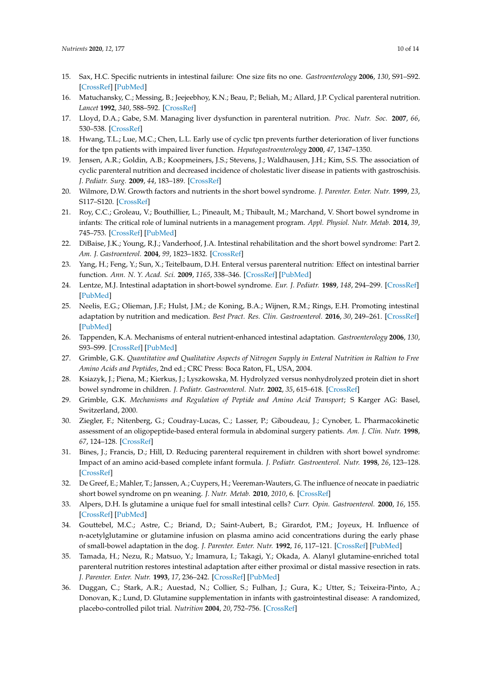- <span id="page-9-0"></span>15. Sax, H.C. Specific nutrients in intestinal failure: One size fits no one. *Gastroenterology* **2006**, *130*, S91–S92. [\[CrossRef\]](http://dx.doi.org/10.1053/j.gastro.2005.11.047) [\[PubMed\]](http://www.ncbi.nlm.nih.gov/pubmed/16473078)
- <span id="page-9-1"></span>16. Matuchansky, C.; Messing, B.; Jeejeebhoy, K.N.; Beau, P.; Beliah, M.; Allard, J.P. Cyclical parenteral nutrition. *Lancet* **1992**, *340*, 588–592. [\[CrossRef\]](http://dx.doi.org/10.1016/0140-6736(92)92116-W)
- 17. Lloyd, D.A.; Gabe, S.M. Managing liver dysfunction in parenteral nutrition. *Proc. Nutr. Soc.* **2007**, *66*, 530–538. [\[CrossRef\]](http://dx.doi.org/10.1017/S002966510700585X)
- 18. Hwang, T.L.; Lue, M.C.; Chen, L.L. Early use of cyclic tpn prevents further deterioration of liver functions for the tpn patients with impaired liver function. *Hepatogastroenterology* **2000**, *47*, 1347–1350.
- <span id="page-9-2"></span>19. Jensen, A.R.; Goldin, A.B.; Koopmeiners, J.S.; Stevens, J.; Waldhausen, J.H.; Kim, S.S. The association of cyclic parenteral nutrition and decreased incidence of cholestatic liver disease in patients with gastroschisis. *J. Pediatr. Surg.* **2009**, *44*, 183–189. [\[CrossRef\]](http://dx.doi.org/10.1016/j.jpedsurg.2008.10.033)
- <span id="page-9-3"></span>20. Wilmore, D.W. Growth factors and nutrients in the short bowel syndrome. *J. Parenter. Enter. Nutr.* **1999**, *23*, S117–S120. [\[CrossRef\]](http://dx.doi.org/10.1177/014860719902300529)
- <span id="page-9-4"></span>21. Roy, C.C.; Groleau, V.; Bouthillier, L.; Pineault, M.; Thibault, M.; Marchand, V. Short bowel syndrome in infants: The critical role of luminal nutrients in a management program. *Appl. Physiol. Nutr. Metab.* **2014**, *39*, 745–753. [\[CrossRef\]](http://dx.doi.org/10.1139/apnm-2013-0211) [\[PubMed\]](http://www.ncbi.nlm.nih.gov/pubmed/24766203)
- <span id="page-9-5"></span>22. DiBaise, J.K.; Young, R.J.; Vanderhoof, J.A. Intestinal rehabilitation and the short bowel syndrome: Part 2. *Am. J. Gastroenterol.* **2004**, *99*, 1823–1832. [\[CrossRef\]](http://dx.doi.org/10.1111/j.1572-0241.2004.40836.x)
- <span id="page-9-6"></span>23. Yang, H.; Feng, Y.; Sun, X.; Teitelbaum, D.H. Enteral versus parenteral nutrition: Effect on intestinal barrier function. *Ann. N. Y. Acad. Sci.* **2009**, *1165*, 338–346. [\[CrossRef\]](http://dx.doi.org/10.1111/j.1749-6632.2009.04026.x) [\[PubMed\]](http://www.ncbi.nlm.nih.gov/pubmed/19538325)
- <span id="page-9-7"></span>24. Lentze, M.J. Intestinal adaptation in short-bowel syndrome. *Eur. J. Pediatr.* **1989**, *148*, 294–299. [\[CrossRef\]](http://dx.doi.org/10.1007/BF00444117) [\[PubMed\]](http://www.ncbi.nlm.nih.gov/pubmed/2651129)
- <span id="page-9-8"></span>25. Neelis, E.G.; Olieman, J.F.; Hulst, J.M.; de Koning, B.A.; Wijnen, R.M.; Rings, E.H. Promoting intestinal adaptation by nutrition and medication. *Best Pract. Res. Clin. Gastroenterol.* **2016**, *30*, 249–261. [\[CrossRef\]](http://dx.doi.org/10.1016/j.bpg.2016.03.002) [\[PubMed\]](http://www.ncbi.nlm.nih.gov/pubmed/27086889)
- <span id="page-9-9"></span>26. Tappenden, K.A. Mechanisms of enteral nutrient-enhanced intestinal adaptation. *Gastroenterology* **2006**, *130*, S93–S99. [\[CrossRef\]](http://dx.doi.org/10.1053/j.gastro.2005.11.051) [\[PubMed\]](http://www.ncbi.nlm.nih.gov/pubmed/16473079)
- <span id="page-9-10"></span>27. Grimble, G.K. *Quantitative and Qualitative Aspects of Nitrogen Supply in Enteral Nutrition in Raltion to Free Amino Acids and Peptides*, 2nd ed.; CRC Press: Boca Raton, FL, USA, 2004.
- <span id="page-9-11"></span>28. Ksiazyk, J.; Piena, M.; Kierkus, J.; Lyszkowska, M. Hydrolyzed versus nonhydrolyzed protein diet in short bowel syndrome in children. *J. Pediatr. Gastroenterol. Nutr.* **2002**, *35*, 615–618. [\[CrossRef\]](http://dx.doi.org/10.1097/00005176-200211000-00005)
- <span id="page-9-12"></span>29. Grimble, G.K. *Mechanisms and Regulation of Peptide and Amino Acid Transport*; S Karger AG: Basel, Switzerland, 2000.
- <span id="page-9-13"></span>30. Ziegler, F.; Nitenberg, G.; Coudray-Lucas, C.; Lasser, P.; Giboudeau, J.; Cynober, L. Pharmacokinetic assessment of an oligopeptide-based enteral formula in abdominal surgery patients. *Am. J. Clin. Nutr.* **1998**, *67*, 124–128. [\[CrossRef\]](http://dx.doi.org/10.1093/ajcn/67.1.124)
- <span id="page-9-14"></span>31. Bines, J.; Francis, D.; Hill, D. Reducing parenteral requirement in children with short bowel syndrome: Impact of an amino acid-based complete infant formula. *J. Pediatr. Gastroenterol. Nutr.* **1998**, *26*, 123–128. [\[CrossRef\]](http://dx.doi.org/10.1097/00005176-199802000-00001)
- <span id="page-9-15"></span>32. De Greef, E.; Mahler, T.; Janssen, A.; Cuypers, H.; Veereman-Wauters, G. The influence of neocate in paediatric short bowel syndrome on pn weaning. *J. Nutr. Metab.* **2010**, *2010*, 6. [\[CrossRef\]](http://dx.doi.org/10.1155/2010/297575)
- <span id="page-9-16"></span>33. Alpers, D.H. Is glutamine a unique fuel for small intestinal cells? *Curr. Opin. Gastroenterol.* **2000**, *16*, 155. [\[CrossRef\]](http://dx.doi.org/10.1097/00001574-200003000-00010) [\[PubMed\]](http://www.ncbi.nlm.nih.gov/pubmed/17024034)
- <span id="page-9-17"></span>34. Gouttebel, M.C.; Astre, C.; Briand, D.; Saint-Aubert, B.; Girardot, P.M.; Joyeux, H. Influence of n-acetylglutamine or glutamine infusion on plasma amino acid concentrations during the early phase of small-bowel adaptation in the dog. *J. Parenter. Enter. Nutr.* **1992**, *16*, 117–121. [\[CrossRef\]](http://dx.doi.org/10.1177/0148607192016002117) [\[PubMed\]](http://www.ncbi.nlm.nih.gov/pubmed/1556804)
- <span id="page-9-18"></span>35. Tamada, H.; Nezu, R.; Matsuo, Y.; Imamura, I.; Takagi, Y.; Okada, A. Alanyl glutamine-enriched total parenteral nutrition restores intestinal adaptation after either proximal or distal massive resection in rats. *J. Parenter. Enter. Nutr.* **1993**, *17*, 236–242. [\[CrossRef\]](http://dx.doi.org/10.1177/0148607193017003236) [\[PubMed\]](http://www.ncbi.nlm.nih.gov/pubmed/8505828)
- <span id="page-9-19"></span>36. Duggan, C.; Stark, A.R.; Auestad, N.; Collier, S.; Fulhan, J.; Gura, K.; Utter, S.; Teixeira-Pinto, A.; Donovan, K.; Lund, D. Glutamine supplementation in infants with gastrointestinal disease: A randomized, placebo-controlled pilot trial. *Nutrition* **2004**, *20*, 752–756. [\[CrossRef\]](http://dx.doi.org/10.1016/j.nut.2004.05.013)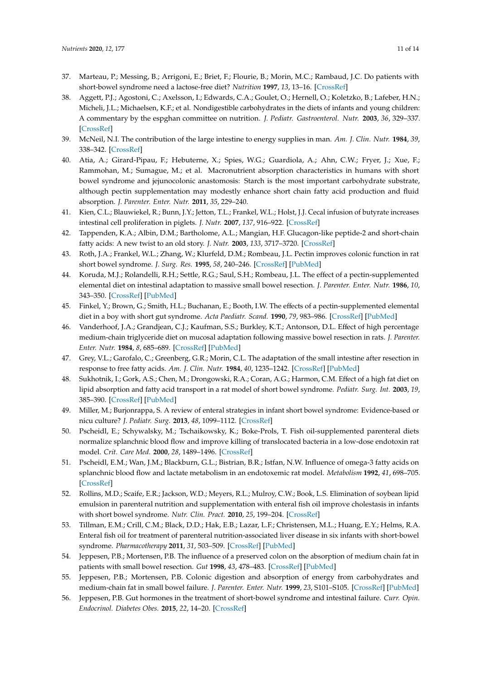- <span id="page-10-0"></span>37. Marteau, P.; Messing, B.; Arrigoni, E.; Briet, F.; Flourie, B.; Morin, M.C.; Rambaud, J.C. Do patients with short-bowel syndrome need a lactose-free diet? *Nutrition* **1997**, *13*, 13–16. [\[CrossRef\]](http://dx.doi.org/10.1016/S0899-9007(97)90872-8)
- <span id="page-10-1"></span>38. Aggett, P.J.; Agostoni, C.; Axelsson, I.; Edwards, C.A.; Goulet, O.; Hernell, O.; Koletzko, B.; Lafeber, H.N.; Micheli, J.L.; Michaelsen, K.F.; et al. Nondigestible carbohydrates in the diets of infants and young children: A commentary by the espghan committee on nutrition. *J. Pediatr. Gastroenterol. Nutr.* **2003**, *36*, 329–337. [\[CrossRef\]](http://dx.doi.org/10.1097/00005176-200303000-00006)
- <span id="page-10-2"></span>39. McNeil, N.I. The contribution of the large intestine to energy supplies in man. *Am. J. Clin. Nutr.* **1984**, *39*, 338–342. [\[CrossRef\]](http://dx.doi.org/10.1093/ajcn/39.2.338)
- <span id="page-10-3"></span>40. Atia, A.; Girard-Pipau, F.; Hebuterne, X.; Spies, W.G.; Guardiola, A.; Ahn, C.W.; Fryer, J.; Xue, F.; Rammohan, M.; Sumague, M.; et al. Macronutrient absorption characteristics in humans with short bowel syndrome and jejunocolonic anastomosis: Starch is the most important carbohydrate substrate, although pectin supplementation may modestly enhance short chain fatty acid production and fluid absorption. *J. Parenter. Enter. Nutr.* **2011**, *35*, 229–240.
- <span id="page-10-4"></span>41. Kien, C.L.; Blauwiekel, R.; Bunn, J.Y.; Jetton, T.L.; Frankel, W.L.; Holst, J.J. Cecal infusion of butyrate increases intestinal cell proliferation in piglets. *J. Nutr.* **2007**, *137*, 916–922. [\[CrossRef\]](http://dx.doi.org/10.1093/jn/137.4.916)
- <span id="page-10-5"></span>42. Tappenden, K.A.; Albin, D.M.; Bartholome, A.L.; Mangian, H.F. Glucagon-like peptide-2 and short-chain fatty acids: A new twist to an old story. *J. Nutr.* **2003**, *133*, 3717–3720. [\[CrossRef\]](http://dx.doi.org/10.1093/jn/133.11.3717)
- <span id="page-10-6"></span>43. Roth, J.A.; Frankel, W.L.; Zhang, W.; Klurfeld, D.M.; Rombeau, J.L. Pectin improves colonic function in rat short bowel syndrome. *J. Surg. Res.* **1995**, *58*, 240–246. [\[CrossRef\]](http://dx.doi.org/10.1006/jsre.1995.1037) [\[PubMed\]](http://www.ncbi.nlm.nih.gov/pubmed/7861779)
- <span id="page-10-7"></span>44. Koruda, M.J.; Rolandelli, R.H.; Settle, R.G.; Saul, S.H.; Rombeau, J.L. The effect of a pectin-supplemented elemental diet on intestinal adaptation to massive small bowel resection. *J. Parenter. Enter. Nutr.* **1986**, *10*, 343–350. [\[CrossRef\]](http://dx.doi.org/10.1177/0148607186010004343) [\[PubMed\]](http://www.ncbi.nlm.nih.gov/pubmed/3747092)
- <span id="page-10-8"></span>45. Finkel, Y.; Brown, G.; Smith, H.L.; Buchanan, E.; Booth, I.W. The effects of a pectin-supplemented elemental diet in a boy with short gut syndrome. *Acta Paediatr. Scand.* **1990**, *79*, 983–986. [\[CrossRef\]](http://dx.doi.org/10.1111/j.1651-2227.1990.tb11368.x) [\[PubMed\]](http://www.ncbi.nlm.nih.gov/pubmed/2124773)
- <span id="page-10-9"></span>46. Vanderhoof, J.A.; Grandjean, C.J.; Kaufman, S.S.; Burkley, K.T.; Antonson, D.L. Effect of high percentage medium-chain triglyceride diet on mucosal adaptation following massive bowel resection in rats. *J. Parenter. Enter. Nutr.* **1984**, *8*, 685–689. [\[CrossRef\]](http://dx.doi.org/10.1177/0148607184008006685) [\[PubMed\]](http://www.ncbi.nlm.nih.gov/pubmed/6441012)
- <span id="page-10-10"></span>47. Grey, V.L.; Garofalo, C.; Greenberg, G.R.; Morin, C.L. The adaptation of the small intestine after resection in response to free fatty acids. *Am. J. Clin. Nutr.* **1984**, *40*, 1235–1242. [\[CrossRef\]](http://dx.doi.org/10.1093/ajcn/40.6.1235) [\[PubMed\]](http://www.ncbi.nlm.nih.gov/pubmed/6507344)
- <span id="page-10-11"></span>48. Sukhotnik, I.; Gork, A.S.; Chen, M.; Drongowski, R.A.; Coran, A.G.; Harmon, C.M. Effect of a high fat diet on lipid absorption and fatty acid transport in a rat model of short bowel syndrome. *Pediatr. Surg. Int.* **2003**, *19*, 385–390. [\[CrossRef\]](http://dx.doi.org/10.1007/s00383-003-1016-3) [\[PubMed\]](http://www.ncbi.nlm.nih.gov/pubmed/12721710)
- <span id="page-10-12"></span>49. Miller, M.; Burjonrappa, S. A review of enteral strategies in infant short bowel syndrome: Evidence-based or nicu culture? *J. Pediatr. Surg.* **2013**, *48*, 1099–1112. [\[CrossRef\]](http://dx.doi.org/10.1016/j.jpedsurg.2013.01.023)
- <span id="page-10-13"></span>50. Pscheidl, E.; Schywalsky, M.; Tschaikowsky, K.; Boke-Prols, T. Fish oil-supplemented parenteral diets normalize splanchnic blood flow and improve killing of translocated bacteria in a low-dose endotoxin rat model. *Crit. Care Med.* **2000**, *28*, 1489–1496. [\[CrossRef\]](http://dx.doi.org/10.1097/00003246-200005000-00039)
- <span id="page-10-14"></span>51. Pscheidl, E.M.; Wan, J.M.; Blackburn, G.L.; Bistrian, B.R.; Istfan, N.W. Influence of omega-3 fatty acids on splanchnic blood flow and lactate metabolism in an endotoxemic rat model. *Metabolism* **1992**, *41*, 698–705. [\[CrossRef\]](http://dx.doi.org/10.1016/0026-0495(92)90307-V)
- <span id="page-10-15"></span>52. Rollins, M.D.; Scaife, E.R.; Jackson, W.D.; Meyers, R.L.; Mulroy, C.W.; Book, L.S. Elimination of soybean lipid emulsion in parenteral nutrition and supplementation with enteral fish oil improve cholestasis in infants with short bowel syndrome. *Nutr. Clin. Pract.* **2010**, *25*, 199–204. [\[CrossRef\]](http://dx.doi.org/10.1177/0884533610361477)
- <span id="page-10-16"></span>53. Tillman, E.M.; Crill, C.M.; Black, D.D.; Hak, E.B.; Lazar, L.F.; Christensen, M.L.; Huang, E.Y.; Helms, R.A. Enteral fish oil for treatment of parenteral nutrition-associated liver disease in six infants with short-bowel syndrome. *Pharmacotherapy* **2011**, *31*, 503–509. [\[CrossRef\]](http://dx.doi.org/10.1592/phco.31.5.503) [\[PubMed\]](http://www.ncbi.nlm.nih.gov/pubmed/21923431)
- <span id="page-10-17"></span>54. Jeppesen, P.B.; Mortensen, P.B. The influence of a preserved colon on the absorption of medium chain fat in patients with small bowel resection. *Gut* **1998**, *43*, 478–483. [\[CrossRef\]](http://dx.doi.org/10.1136/gut.43.4.478) [\[PubMed\]](http://www.ncbi.nlm.nih.gov/pubmed/9824573)
- <span id="page-10-18"></span>55. Jeppesen, P.B.; Mortensen, P.B. Colonic digestion and absorption of energy from carbohydrates and medium-chain fat in small bowel failure. *J. Parenter. Enter. Nutr.* **1999**, *23*, S101–S105. [\[CrossRef\]](http://dx.doi.org/10.1177/014860719902300525) [\[PubMed\]](http://www.ncbi.nlm.nih.gov/pubmed/10483907)
- <span id="page-10-19"></span>56. Jeppesen, P.B. Gut hormones in the treatment of short-bowel syndrome and intestinal failure. *Curr. Opin. Endocrinol. Diabetes Obes.* **2015**, *22*, 14–20. [\[CrossRef\]](http://dx.doi.org/10.1097/MED.0000000000000120)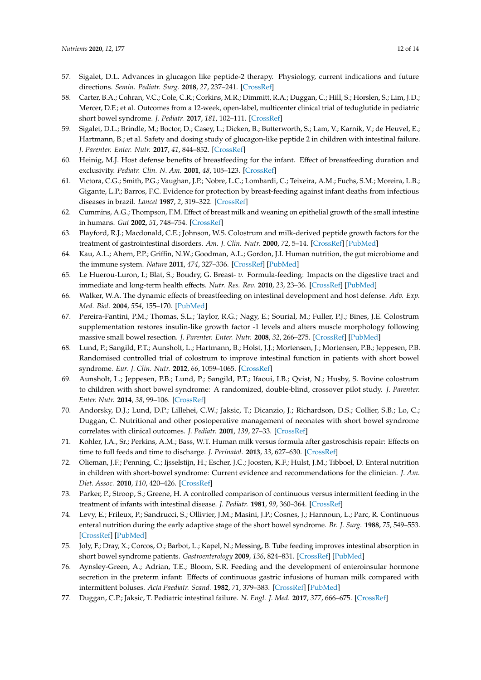- <span id="page-11-0"></span>57. Sigalet, D.L. Advances in glucagon like peptide-2 therapy. Physiology, current indications and future directions. *Semin. Pediatr. Surg.* **2018**, *27*, 237–241. [\[CrossRef\]](http://dx.doi.org/10.1053/j.sempedsurg.2018.07.008)
- <span id="page-11-1"></span>58. Carter, B.A.; Cohran, V.C.; Cole, C.R.; Corkins, M.R.; Dimmitt, R.A.; Duggan, C.; Hill, S.; Horslen, S.; Lim, J.D.; Mercer, D.F.; et al. Outcomes from a 12-week, open-label, multicenter clinical trial of teduglutide in pediatric short bowel syndrome. *J. Pediatr.* **2017**, *181*, 102–111. [\[CrossRef\]](http://dx.doi.org/10.1016/j.jpeds.2016.10.027)
- <span id="page-11-2"></span>59. Sigalet, D.L.; Brindle, M.; Boctor, D.; Casey, L.; Dicken, B.; Butterworth, S.; Lam, V.; Karnik, V.; de Heuvel, E.; Hartmann, B.; et al. Safety and dosing study of glucagon-like peptide 2 in children with intestinal failure. *J. Parenter. Enter. Nutr.* **2017**, *41*, 844–852. [\[CrossRef\]](http://dx.doi.org/10.1177/0148607115609566)
- <span id="page-11-3"></span>60. Heinig, M.J. Host defense benefits of breastfeeding for the infant. Effect of breastfeeding duration and exclusivity. *Pediatr. Clin. N. Am.* **2001**, *48*, 105–123. [\[CrossRef\]](http://dx.doi.org/10.1016/S0031-3955(05)70288-1)
- <span id="page-11-4"></span>61. Victora, C.G.; Smith, P.G.; Vaughan, J.P.; Nobre, L.C.; Lombardi, C.; Teixeira, A.M.; Fuchs, S.M.; Moreira, L.B.; Gigante, L.P.; Barros, F.C. Evidence for protection by breast-feeding against infant deaths from infectious diseases in brazil. *Lancet* **1987**, *2*, 319–322. [\[CrossRef\]](http://dx.doi.org/10.1016/S0140-6736(87)90902-0)
- <span id="page-11-5"></span>62. Cummins, A.G.; Thompson, F.M. Effect of breast milk and weaning on epithelial growth of the small intestine in humans. *Gut* **2002**, *51*, 748–754. [\[CrossRef\]](http://dx.doi.org/10.1136/gut.51.5.748)
- <span id="page-11-6"></span>63. Playford, R.J.; Macdonald, C.E.; Johnson, W.S. Colostrum and milk-derived peptide growth factors for the treatment of gastrointestinal disorders. *Am. J. Clin. Nutr.* **2000**, *72*, 5–14. [\[CrossRef\]](http://dx.doi.org/10.1093/ajcn/72.1.5) [\[PubMed\]](http://www.ncbi.nlm.nih.gov/pubmed/10871554)
- <span id="page-11-7"></span>64. Kau, A.L.; Ahern, P.P.; Griffin, N.W.; Goodman, A.L.; Gordon, J.I. Human nutrition, the gut microbiome and the immune system. *Nature* **2011**, *474*, 327–336. [\[CrossRef\]](http://dx.doi.org/10.1038/nature10213) [\[PubMed\]](http://www.ncbi.nlm.nih.gov/pubmed/21677749)
- <span id="page-11-8"></span>65. Le Huerou-Luron, I.; Blat, S.; Boudry, G. Breast- *v*. Formula-feeding: Impacts on the digestive tract and immediate and long-term health effects. *Nutr. Res. Rev.* **2010**, *23*, 23–36. [\[CrossRef\]](http://dx.doi.org/10.1017/S0954422410000065) [\[PubMed\]](http://www.ncbi.nlm.nih.gov/pubmed/20450531)
- <span id="page-11-9"></span>66. Walker, W.A. The dynamic effects of breastfeeding on intestinal development and host defense. *Adv. Exp. Med. Biol.* **2004**, *554*, 155–170. [\[PubMed\]](http://www.ncbi.nlm.nih.gov/pubmed/15384575)
- <span id="page-11-10"></span>67. Pereira-Fantini, P.M.; Thomas, S.L.; Taylor, R.G.; Nagy, E.; Sourial, M.; Fuller, P.J.; Bines, J.E. Colostrum supplementation restores insulin-like growth factor -1 levels and alters muscle morphology following massive small bowel resection. *J. Parenter. Enter. Nutr.* **2008**, *32*, 266–275. [\[CrossRef\]](http://dx.doi.org/10.1177/0148607108316197) [\[PubMed\]](http://www.ncbi.nlm.nih.gov/pubmed/18443138)
- <span id="page-11-11"></span>68. Lund, P.; Sangild, P.T.; Aunsholt, L.; Hartmann, B.; Holst, J.J.; Mortensen, J.; Mortensen, P.B.; Jeppesen, P.B. Randomised controlled trial of colostrum to improve intestinal function in patients with short bowel syndrome. *Eur. J. Clin. Nutr.* **2012**, *66*, 1059–1065. [\[CrossRef\]](http://dx.doi.org/10.1038/ejcn.2012.93)
- <span id="page-11-12"></span>69. Aunsholt, L.; Jeppesen, P.B.; Lund, P.; Sangild, P.T.; Ifaoui, I.B.; Qvist, N.; Husby, S. Bovine colostrum to children with short bowel syndrome: A randomized, double-blind, crossover pilot study. *J. Parenter. Enter. Nutr.* **2014**, *38*, 99–106. [\[CrossRef\]](http://dx.doi.org/10.1177/0148607112469630)
- <span id="page-11-13"></span>70. Andorsky, D.J.; Lund, D.P.; Lillehei, C.W.; Jaksic, T.; Dicanzio, J.; Richardson, D.S.; Collier, S.B.; Lo, C.; Duggan, C. Nutritional and other postoperative management of neonates with short bowel syndrome correlates with clinical outcomes. *J. Pediatr.* **2001**, *139*, 27–33. [\[CrossRef\]](http://dx.doi.org/10.1067/mpd.2001.114481)
- <span id="page-11-14"></span>71. Kohler, J.A., Sr.; Perkins, A.M.; Bass, W.T. Human milk versus formula after gastroschisis repair: Effects on time to full feeds and time to discharge. *J. Perinatol.* **2013**, *33*, 627–630. [\[CrossRef\]](http://dx.doi.org/10.1038/jp.2013.27)
- <span id="page-11-15"></span>72. Olieman, J.F.; Penning, C.; Ijsselstijn, H.; Escher, J.C.; Joosten, K.F.; Hulst, J.M.; Tibboel, D. Enteral nutrition in children with short-bowel syndrome: Current evidence and recommendations for the clinician. *J. Am. Diet. Assoc.* **2010**, *110*, 420–426. [\[CrossRef\]](http://dx.doi.org/10.1016/j.jada.2009.12.001)
- <span id="page-11-16"></span>73. Parker, P.; Stroop, S.; Greene, H. A controlled comparison of continuous versus intermittent feeding in the treatment of infants with intestinal disease. *J. Pediatr.* **1981**, *99*, 360–364. [\[CrossRef\]](http://dx.doi.org/10.1016/S0022-3476(81)80318-6)
- <span id="page-11-17"></span>74. Levy, E.; Frileux, P.; Sandrucci, S.; Ollivier, J.M.; Masini, J.P.; Cosnes, J.; Hannoun, L.; Parc, R. Continuous enteral nutrition during the early adaptive stage of the short bowel syndrome. *Br. J. Surg.* **1988**, *75*, 549–553. [\[CrossRef\]](http://dx.doi.org/10.1002/bjs.1800750615) [\[PubMed\]](http://www.ncbi.nlm.nih.gov/pubmed/3134973)
- <span id="page-11-18"></span>75. Joly, F.; Dray, X.; Corcos, O.; Barbot, L.; Kapel, N.; Messing, B. Tube feeding improves intestinal absorption in short bowel syndrome patients. *Gastroenterology* **2009**, *136*, 824–831. [\[CrossRef\]](http://dx.doi.org/10.1053/j.gastro.2008.10.084) [\[PubMed\]](http://www.ncbi.nlm.nih.gov/pubmed/19046971)
- <span id="page-11-19"></span>76. Aynsley-Green, A.; Adrian, T.E.; Bloom, S.R. Feeding and the development of enteroinsular hormone secretion in the preterm infant: Effects of continuous gastric infusions of human milk compared with intermittent boluses. *Acta Paediatr. Scand.* **1982**, *71*, 379–383. [\[CrossRef\]](http://dx.doi.org/10.1111/j.1651-2227.1982.tb09438.x) [\[PubMed\]](http://www.ncbi.nlm.nih.gov/pubmed/6814175)
- <span id="page-11-20"></span>77. Duggan, C.P.; Jaksic, T. Pediatric intestinal failure. *N. Engl. J. Med.* **2017**, *377*, 666–675. [\[CrossRef\]](http://dx.doi.org/10.1056/NEJMra1602650)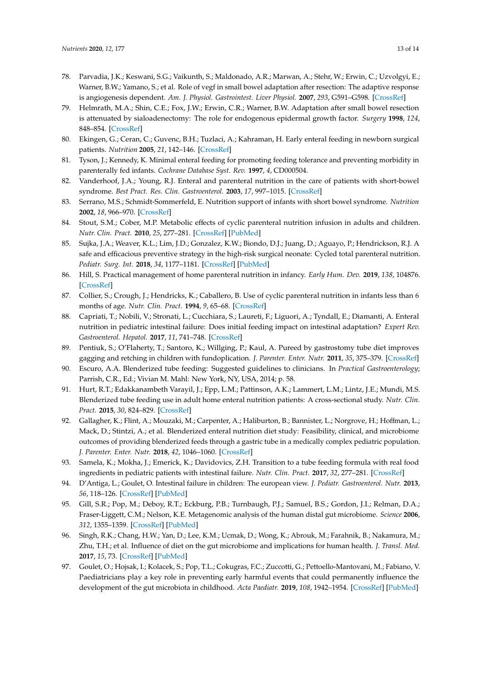- <span id="page-12-0"></span>78. Parvadia, J.K.; Keswani, S.G.; Vaikunth, S.; Maldonado, A.R.; Marwan, A.; Stehr, W.; Erwin, C.; Uzvolgyi, E.; Warner, B.W.; Yamano, S.; et al. Role of vegf in small bowel adaptation after resection: The adaptive response is angiogenesis dependent. *Am. J. Physiol. Gastrointest. Liver Physiol.* **2007**, *293*, G591–G598. [\[CrossRef\]](http://dx.doi.org/10.1152/ajpgi.00572.2006)
- <span id="page-12-1"></span>79. Helmrath, M.A.; Shin, C.E.; Fox, J.W.; Erwin, C.R.; Warner, B.W. Adaptation after small bowel resection is attenuated by sialoadenectomy: The role for endogenous epidermal growth factor. *Surgery* **1998**, *124*, 848–854. [\[CrossRef\]](http://dx.doi.org/10.1016/S0039-6060(98)70008-X)
- <span id="page-12-2"></span>80. Ekingen, G.; Ceran, C.; Guvenc, B.H.; Tuzlaci, A.; Kahraman, H. Early enteral feeding in newborn surgical patients. *Nutrition* **2005**, *21*, 142–146. [\[CrossRef\]](http://dx.doi.org/10.1016/j.nut.2004.10.003)
- <span id="page-12-3"></span>81. Tyson, J.; Kennedy, K. Minimal enteral feeding for promoting feeding tolerance and preventing morbidity in parenterally fed infants. *Cochrane Database Syst. Rev.* **1997**, *4*, CD000504.
- <span id="page-12-4"></span>82. Vanderhoof, J.A.; Young, R.J. Enteral and parenteral nutrition in the care of patients with short-bowel syndrome. *Best Pract. Res. Clin. Gastroenterol.* **2003**, *17*, 997–1015. [\[CrossRef\]](http://dx.doi.org/10.1016/S1521-6918(03)00082-9)
- <span id="page-12-5"></span>83. Serrano, M.S.; Schmidt-Sommerfeld, E. Nutrition support of infants with short bowel syndrome. *Nutrition* **2002**, *18*, 966–970. [\[CrossRef\]](http://dx.doi.org/10.1016/S0899-9007(02)00986-3)
- <span id="page-12-6"></span>84. Stout, S.M.; Cober, M.P. Metabolic effects of cyclic parenteral nutrition infusion in adults and children. *Nutr. Clin. Pract.* **2010**, *25*, 277–281. [\[CrossRef\]](http://dx.doi.org/10.1177/0884533610368701) [\[PubMed\]](http://www.ncbi.nlm.nih.gov/pubmed/20581322)
- <span id="page-12-7"></span>85. Sujka, J.A.; Weaver, K.L.; Lim, J.D.; Gonzalez, K.W.; Biondo, D.J.; Juang, D.; Aguayo, P.; Hendrickson, R.J. A safe and efficacious preventive strategy in the high-risk surgical neonate: Cycled total parenteral nutrition. *Pediatr. Surg. Int.* **2018**, *34*, 1177–1181. [\[CrossRef\]](http://dx.doi.org/10.1007/s00383-018-4351-0) [\[PubMed\]](http://www.ncbi.nlm.nih.gov/pubmed/30267193)
- <span id="page-12-8"></span>86. Hill, S. Practical management of home parenteral nutrition in infancy. *Early Hum. Dev.* **2019**, *138*, 104876. [\[CrossRef\]](http://dx.doi.org/10.1016/j.earlhumdev.2019.104876)
- <span id="page-12-9"></span>87. Collier, S.; Crough, J.; Hendricks, K.; Caballero, B. Use of cyclic parenteral nutrition in infants less than 6 months of age. *Nutr. Clin. Pract.* **1994**, *9*, 65–68. [\[CrossRef\]](http://dx.doi.org/10.1177/011542659400900265)
- <span id="page-12-10"></span>88. Capriati, T.; Nobili, V.; Stronati, L.; Cucchiara, S.; Laureti, F.; Liguori, A.; Tyndall, E.; Diamanti, A. Enteral nutrition in pediatric intestinal failure: Does initial feeding impact on intestinal adaptation? *Expert Rev. Gastroenterol. Hepatol.* **2017**, *11*, 741–748. [\[CrossRef\]](http://dx.doi.org/10.1080/17474124.2017.1335196)
- <span id="page-12-11"></span>89. Pentiuk, S.; O'Flaherty, T.; Santoro, K.; Willging, P.; Kaul, A. Pureed by gastrostomy tube diet improves gagging and retching in children with fundoplication. *J. Parenter. Enter. Nutr.* **2011**, *35*, 375–379. [\[CrossRef\]](http://dx.doi.org/10.1177/0148607110377797)
- <span id="page-12-12"></span>90. Escuro, A.A. Blenderized tube feeding: Suggested guidelines to clinicians. In *Practical Gastroenterology*; Parrish, C.R., Ed.; Vivian M. Mahl: New York, NY, USA, 2014; p. 58.
- <span id="page-12-13"></span>91. Hurt, R.T.; Edakkanambeth Varayil, J.; Epp, L.M.; Pattinson, A.K.; Lammert, L.M.; Lintz, J.E.; Mundi, M.S. Blenderized tube feeding use in adult home enteral nutrition patients: A cross-sectional study. *Nutr. Clin. Pract.* **2015**, *30*, 824–829. [\[CrossRef\]](http://dx.doi.org/10.1177/0884533615591602)
- <span id="page-12-14"></span>92. Gallagher, K.; Flint, A.; Mouzaki, M.; Carpenter, A.; Haliburton, B.; Bannister, L.; Norgrove, H.; Hoffman, L.; Mack, D.; Stintzi, A.; et al. Blenderized enteral nutrition diet study: Feasibility, clinical, and microbiome outcomes of providing blenderized feeds through a gastric tube in a medically complex pediatric population. *J. Parenter. Enter. Nutr.* **2018**, *42*, 1046–1060. [\[CrossRef\]](http://dx.doi.org/10.1002/jpen.1049)
- <span id="page-12-15"></span>93. Samela, K.; Mokha, J.; Emerick, K.; Davidovics, Z.H. Transition to a tube feeding formula with real food ingredients in pediatric patients with intestinal failure. *Nutr. Clin. Pract.* **2017**, *32*, 277–281. [\[CrossRef\]](http://dx.doi.org/10.1177/0884533616661011)
- <span id="page-12-16"></span>94. D'Antiga, L.; Goulet, O. Intestinal failure in children: The european view. *J. Pediatr. Gastroenterol. Nutr.* **2013**, *56*, 118–126. [\[CrossRef\]](http://dx.doi.org/10.1097/MPG.0b013e318268a9e3) [\[PubMed\]](http://www.ncbi.nlm.nih.gov/pubmed/22820123)
- <span id="page-12-17"></span>95. Gill, S.R.; Pop, M.; Deboy, R.T.; Eckburg, P.B.; Turnbaugh, P.J.; Samuel, B.S.; Gordon, J.I.; Relman, D.A.; Fraser-Liggett, C.M.; Nelson, K.E. Metagenomic analysis of the human distal gut microbiome. *Science* **2006**, *312*, 1355–1359. [\[CrossRef\]](http://dx.doi.org/10.1126/science.1124234) [\[PubMed\]](http://www.ncbi.nlm.nih.gov/pubmed/16741115)
- <span id="page-12-18"></span>96. Singh, R.K.; Chang, H.W.; Yan, D.; Lee, K.M.; Ucmak, D.; Wong, K.; Abrouk, M.; Farahnik, B.; Nakamura, M.; Zhu, T.H.; et al. Influence of diet on the gut microbiome and implications for human health. *J. Transl. Med.* **2017**, *15*, 73. [\[CrossRef\]](http://dx.doi.org/10.1186/s12967-017-1175-y) [\[PubMed\]](http://www.ncbi.nlm.nih.gov/pubmed/28388917)
- <span id="page-12-19"></span>97. Goulet, O.; Hojsak, I.; Kolacek, S.; Pop, T.L.; Cokugras, F.C.; Zuccotti, G.; Pettoello-Mantovani, M.; Fabiano, V. Paediatricians play a key role in preventing early harmful events that could permanently influence the development of the gut microbiota in childhood. *Acta Paediatr.* **2019**, *108*, 1942–1954. [\[CrossRef\]](http://dx.doi.org/10.1111/apa.14900) [\[PubMed\]](http://www.ncbi.nlm.nih.gov/pubmed/31197890)